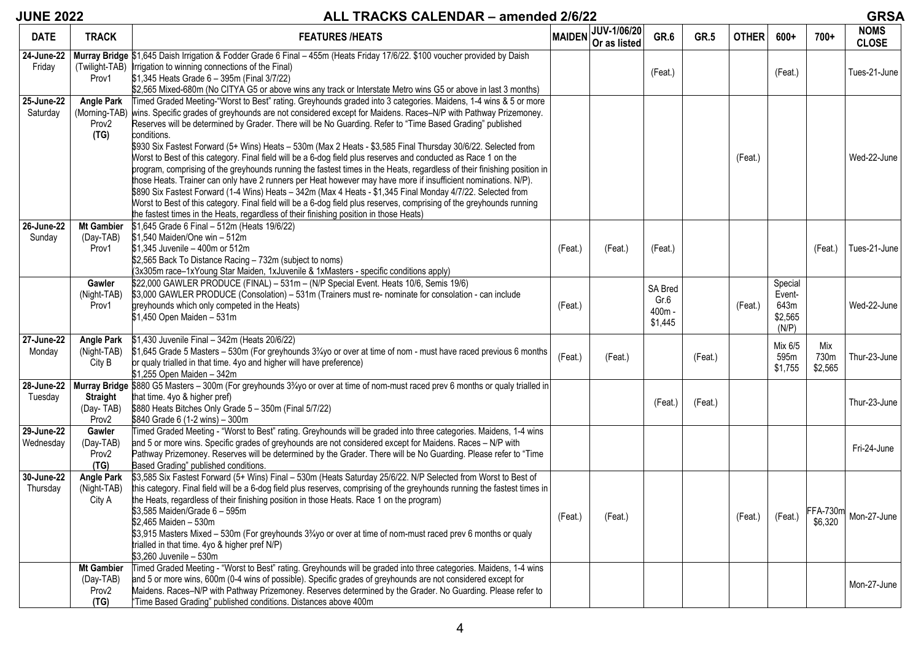# **JUNE 2022 ALL TRACKS CALENDAR – amended 2/6/22 GRSA**

| <b>DATE</b>                  | <b>TRACK</b>                                        | <b>FEATURES /HEATS</b>                                                                                                                                                                                                                                                                                                                                                                                                                                                                                                                                                                                                                                                                                                                                                                                                                                                                                                                                                                                                                                                                                                                                                         | <b>MAIDEN</b> | JUV-1/06/20<br>Or as listed | GR.6                                 | <b>GR.5</b> | <b>OTHER</b> | $600+$                                        | $700+$                     | <b>NOMS</b><br><b>CLOSE</b> |
|------------------------------|-----------------------------------------------------|--------------------------------------------------------------------------------------------------------------------------------------------------------------------------------------------------------------------------------------------------------------------------------------------------------------------------------------------------------------------------------------------------------------------------------------------------------------------------------------------------------------------------------------------------------------------------------------------------------------------------------------------------------------------------------------------------------------------------------------------------------------------------------------------------------------------------------------------------------------------------------------------------------------------------------------------------------------------------------------------------------------------------------------------------------------------------------------------------------------------------------------------------------------------------------|---------------|-----------------------------|--------------------------------------|-------------|--------------|-----------------------------------------------|----------------------------|-----------------------------|
| 24-June-22<br>Friday         | Prov1                                               | Murray Bridge \$1,645 Daish Irrigation & Fodder Grade 6 Final - 455m (Heats Friday 17/6/22. \$100 voucher provided by Daish<br>(Twilight-TAB) Irrigation to winning connections of the Final)<br>\$1,345 Heats Grade 6 - 395m (Final 3/7/22)<br>\$2,565 Mixed-680m (No CITYA G5 or above wins any track or Interstate Metro wins G5 or above in last 3 months)                                                                                                                                                                                                                                                                                                                                                                                                                                                                                                                                                                                                                                                                                                                                                                                                                 |               |                             | (Feat.)                              |             |              | (Feat.)                                       |                            | Tues-21-June                |
| $25$ -June- $22$<br>Saturday | <b>Angle Park</b><br>(Morning-TAB)<br>Prov2<br>(TG) | Timed Graded Meeting-"Worst to Best" rating. Greyhounds graded into 3 categories. Maidens, 1-4 wins & 5 or more<br>wins. Specific grades of greyhounds are not considered except for Maidens. Races-N/P with Pathway Prizemoney.<br>Reserves will be determined by Grader. There will be No Guarding. Refer to "Time Based Grading" published<br>conditions.<br>\$930 Six Fastest Forward (5+ Wins) Heats - 530m (Max 2 Heats - \$3,585 Final Thursday 30/6/22. Selected from<br>Worst to Best of this category. Final field will be a 6-dog field plus reserves and conducted as Race 1 on the<br>program, comprising of the greyhounds running the fastest times in the Heats, regardless of their finishing position in<br>those Heats. Trainer can only have 2 runners per Heat however may have more if insufficient nominations. N/P).<br>\$890 Six Fastest Forward (1-4 Wins) Heats - 342m (Max 4 Heats - \$1,345 Final Monday 4/7/22. Selected from<br>Worst to Best of this category. Final field will be a 6-dog field plus reserves, comprising of the greyhounds running<br>the fastest times in the Heats, regardless of their finishing position in those Heats) |               |                             |                                      |             | (Feat.)      |                                               |                            | Wed-22-June                 |
| 26-June-22<br>Sunday         | <b>Mt Gambier</b><br>(Day-TAB)<br>Prov1             | \$1,645 Grade 6 Final - 512m (Heats 19/6/22)<br>\$1,540 Maiden/One win - 512m<br>\$1,345 Juvenile - 400m or 512m<br>\$2,565 Back To Distance Racing - 732m (subject to noms)<br>(3x305m race-1xYoung Star Maiden, 1xJuvenile & 1xMasters - specific conditions apply)                                                                                                                                                                                                                                                                                                                                                                                                                                                                                                                                                                                                                                                                                                                                                                                                                                                                                                          | (Feat.)       | (Feat.)                     | (Feat.)                              |             |              |                                               | (Feat.)                    | Tues-21-June                |
|                              | Gawler<br>(Night-TAB)<br>Prov1                      | \$22,000 GAWLER PRODUCE (FINAL) - 531m - (N/P Special Event. Heats 10/6, Semis 19/6)<br>\$3,000 GAWLER PRODUCE (Consolation) - 531m (Trainers must re- nominate for consolation - can include<br>greyhounds which only competed in the Heats)<br>\$1,450 Open Maiden - 531m                                                                                                                                                                                                                                                                                                                                                                                                                                                                                                                                                                                                                                                                                                                                                                                                                                                                                                    | (Feat.)       |                             | SA Bred<br>Gr.6<br>400m -<br>\$1,445 |             | (Feat.)      | Special<br>Event-<br>643m<br>\$2,565<br>(N/P) |                            | Wed-22-June                 |
| 27-June-22<br>Monday         | <b>Angle Park</b><br>(Night-TAB)<br>City B          | \$1,430 Juvenile Final - 342m (Heats 20/6/22)<br>\$1,645 Grade 5 Masters - 530m (For greyhounds 3 <sup>3</sup> / <sub>4</sub> yo or over at time of nom - must have raced previous 6 months<br>or qualy trialled in that time. 4yo and higher will have preference)<br>\$1,255 Open Maiden - 342m                                                                                                                                                                                                                                                                                                                                                                                                                                                                                                                                                                                                                                                                                                                                                                                                                                                                              | (Feat.)       | (Feat.)                     |                                      | (Feat.)     |              | Mix 6/5<br>595m<br>\$1,755                    | Mix<br>730m<br>\$2,565     | Thur-23-June                |
| 28-June-22<br>Tuesday        | <b>Straight</b><br>(Day-TAB)<br>Prov <sub>2</sub>   | Murray Bridge \$880 G5 Masters - 300m (For greyhounds 3 <sup>3</sup> / <sub>4</sub> yo or over at time of nom-must raced prev 6 months or qualy trialled in<br>that time. 4yo & higher pref)<br>\$880 Heats Bitches Only Grade 5 - 350m (Final 5/7/22)<br>\$840 Grade 6 (1-2 wins) - 300m                                                                                                                                                                                                                                                                                                                                                                                                                                                                                                                                                                                                                                                                                                                                                                                                                                                                                      |               |                             | (Feat.)                              | (Feat.)     |              |                                               |                            | Thur-23-June                |
| 29-June-22<br>Wednesday      | Gawler<br>(Day-TAB)<br>Prov2<br>(TG)                | Timed Graded Meeting - "Worst to Best" rating. Greyhounds will be graded into three categories. Maidens, 1-4 wins<br>and 5 or more wins. Specific grades of greyhounds are not considered except for Maidens. Races - N/P with<br>Pathway Prizemoney. Reserves will be determined by the Grader. There will be No Guarding. Please refer to "Time<br>Based Grading" published conditions.                                                                                                                                                                                                                                                                                                                                                                                                                                                                                                                                                                                                                                                                                                                                                                                      |               |                             |                                      |             |              |                                               |                            | Fri-24-June                 |
| 30-June-22<br>Thursday       | <b>Angle Park</b><br>(Night-TAB)<br>City A          | \$3,585 Six Fastest Forward (5+ Wins) Final - 530m (Heats Saturday 25/6/22. N/P Selected from Worst to Best of<br>this category. Final field will be a 6-dog field plus reserves, comprising of the greyhounds running the fastest times in<br>the Heats, regardless of their finishing position in those Heats. Race 1 on the program)<br>\$3.585 Maiden/Grade 6 - 595m<br>\$2,465 Maiden - 530m<br>\$3,915 Masters Mixed - 530m (For greyhounds 33/4yo or over at time of nom-must raced prev 6 months or qualy<br>trialled in that time. 4yo & higher pref N/P)<br>\$3,260 Juvenile - 530m                                                                                                                                                                                                                                                                                                                                                                                                                                                                                                                                                                                  | (Feat.)       | (Feat.)                     |                                      |             | (Feat.)      | (Feat.)                                       | <b>FFA-730m</b><br>\$6,320 | Mon-27-June                 |
|                              | <b>Mt Gambier</b><br>(Day-TAB)<br>Prov2<br>(TG)     | Timed Graded Meeting - "Worst to Best" rating. Greyhounds will be graded into three categories. Maidens, 1-4 wins<br>and 5 or more wins, 600m (0-4 wins of possible). Specific grades of greyhounds are not considered except for<br>Maidens. Races-N/P with Pathway Prizemoney. Reserves determined by the Grader. No Guarding. Please refer to<br>"Time Based Grading" published conditions. Distances above 400m                                                                                                                                                                                                                                                                                                                                                                                                                                                                                                                                                                                                                                                                                                                                                            |               |                             |                                      |             |              |                                               |                            | Mon-27-June                 |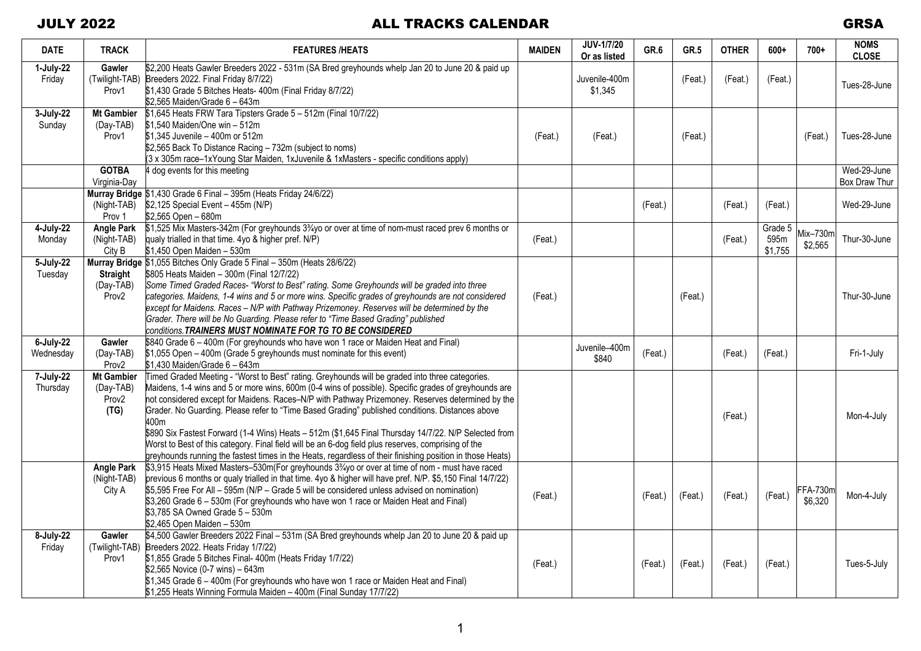| <b>DATE</b>               | <b>TRACK</b>                                                | <b>FEATURES /HEATS</b>                                                                                                                                                                                                                                                                                                                                                                                                                                                                                                                                                                                                                                                                                                                             | <b>MAIDEN</b> | <b>JUV-1/7/20</b><br>Or as listed | GR.6    | GR.5    | <b>OTHER</b> | $600+$                     | $700+$                     | <b>NOMS</b><br><b>CLOSE</b>  |
|---------------------------|-------------------------------------------------------------|----------------------------------------------------------------------------------------------------------------------------------------------------------------------------------------------------------------------------------------------------------------------------------------------------------------------------------------------------------------------------------------------------------------------------------------------------------------------------------------------------------------------------------------------------------------------------------------------------------------------------------------------------------------------------------------------------------------------------------------------------|---------------|-----------------------------------|---------|---------|--------------|----------------------------|----------------------------|------------------------------|
| 1-July-22<br>Friday       | Gawler<br>Prov1                                             | \$2,200 Heats Gawler Breeders 2022 - 531m (SA Bred greyhounds whelp Jan 20 to June 20 & paid up<br>(Twilight-TAB) Breeders 2022. Final Friday 8/7/22)<br>\$1,430 Grade 5 Bitches Heats- 400m (Final Friday 8/7/22)<br>\$2,565 Maiden/Grade 6 - 643m                                                                                                                                                                                                                                                                                                                                                                                                                                                                                                |               | Juvenile-400m<br>\$1,345          |         | (Feat.) | (Feat.)      | (Feat.)                    |                            | Tues-28-June                 |
| 3-July-22<br>Sunday       | <b>Mt Gambier</b><br>(Day-TAB)<br>Prov1                     | \$1,645 Heats FRW Tara Tipsters Grade 5 - 512m (Final 10/7/22)<br>\$1,540 Maiden/One win - 512m<br>\$1.345 Juvenile - 400m or 512m<br>\$2,565 Back To Distance Racing - 732m (subject to noms)<br>(3 x 305m race-1xYoung Star Maiden, 1xJuvenile & 1xMasters - specific conditions apply)                                                                                                                                                                                                                                                                                                                                                                                                                                                          | (Feat.)       | (Feat.)                           |         | (Feat.) |              |                            | (Feat.)                    | Tues-28-June                 |
|                           | <b>GOTBA</b><br>Virginia-Day                                | 4 dog events for this meeting                                                                                                                                                                                                                                                                                                                                                                                                                                                                                                                                                                                                                                                                                                                      |               |                                   |         |         |              |                            |                            | Wed-29-June<br>Box Draw Thur |
|                           | (Night-TAB)<br>Prov 1                                       | Murray Bridge \$1,430 Grade 6 Final - 395m (Heats Friday 24/6/22)<br>\$2,125 Special Event - 455m (N/P)<br>\$2,565 Open - 680m                                                                                                                                                                                                                                                                                                                                                                                                                                                                                                                                                                                                                     |               |                                   | (Feat.) |         | (Feat.)      | (Feat.)                    |                            | Wed-29-June                  |
| 4-July-22<br>Monday       | <b>Angle Park</b><br>(Night-TAB)<br>City B                  | \$1,525 Mix Masters-342m (For greyhounds 3 <sup>3</sup> / <sub>4</sub> yo or over at time of nom-must raced prev 6 months or<br>qualy trialled in that time. 4yo & higher pref. N/P)<br>\$1,450 Open Maiden - 530m                                                                                                                                                                                                                                                                                                                                                                                                                                                                                                                                 | (Feat.)       |                                   |         |         | (Feat.)      | Grade 5<br>595m<br>\$1,755 | $Mix-730m$<br>\$2,565      | Thur-30-June                 |
| 5-July-22<br>Tuesday      | <b>Straight</b><br>(Day-TAB)<br>Prov <sub>2</sub>           | Murray Bridge \$1,055 Bitches Only Grade 5 Final - 350m (Heats 28/6/22)<br>\$805 Heats Maiden - 300m (Final 12/7/22)<br>Some Timed Graded Races- "Worst to Best" rating. Some Greyhounds will be graded into three<br>categories. Maidens, 1-4 wins and 5 or more wins. Specific grades of greyhounds are not considered<br>except for Maidens. Races - N/P with Pathway Prizemoney. Reserves will be determined by the<br>Grader. There will be No Guarding. Please refer to "Time Based Grading" published<br>conditions. TRAINERS MUST NOMINATE FOR TG TO BE CONSIDERED                                                                                                                                                                         | (Feat.)       |                                   |         | (Feat.) |              |                            |                            | Thur-30-June                 |
| $6$ -July-22<br>Wednesday | Gawler<br>(Day-TAB)<br>Prov2                                | \$840 Grade 6 - 400m (For greyhounds who have won 1 race or Maiden Heat and Final)<br>\$1,055 Open - 400m (Grade 5 greyhounds must nominate for this event)<br>\$1,430 Maiden/Grade 6 - 643m                                                                                                                                                                                                                                                                                                                                                                                                                                                                                                                                                       |               | Juvenile-400m<br>\$840            | (Feat.) |         | (Feat.)      | (Feat.)                    |                            | Fri-1-July                   |
| 7-July-22<br>Thursday     | <b>Mt Gambier</b><br>(Day-TAB)<br>Prov <sub>2</sub><br>(TG) | Timed Graded Meeting - "Worst to Best" rating. Greyhounds will be graded into three categories.<br>Maidens, 1-4 wins and 5 or more wins, 600m (0-4 wins of possible). Specific grades of greyhounds are<br>hot considered except for Maidens. Races-N/P with Pathway Prizemoney. Reserves determined by the<br>Grader. No Guarding. Please refer to "Time Based Grading" published conditions. Distances above<br>400m<br>\$890 Six Fastest Forward (1-4 Wins) Heats - 512m (\$1,645 Final Thursday 14/7/22. N/P Selected from<br>Worst to Best of this category. Final field will be an 6-dog field plus reserves, comprising of the<br>greyhounds running the fastest times in the Heats, regardless of their finishing position in those Heats) |               |                                   |         |         | (Feat.)      |                            |                            | Mon-4-July                   |
|                           | <b>Angle Park</b><br>(Night-TAB)<br>City A                  | \$3,915 Heats Mixed Masters-530m(For greyhounds 3 <sup>3</sup> /yo or over at time of nom - must have raced<br>previous 6 months or qualy trialled in that time. 4yo & higher will have pref. N/P. \$5,150 Final 14/7/22)<br>\$5,595 Free For All - 595m (N/P - Grade 5 will be considered unless advised on nomination)<br>\$3,260 Grade 6 - 530m (For greyhounds who have won 1 race or Maiden Heat and Final)<br>\$3,785 SA Owned Grade 5 - 530m<br>\$2,465 Open Maiden - 530m                                                                                                                                                                                                                                                                  | (Feat.)       |                                   | (Feat.) | (Feat.) | (Feat.)      | (Feat.)                    | <b>FFA-730m</b><br>\$6.320 | Mon-4-July                   |
| 8-July-22<br>Friday       | Gawler<br>Prov1                                             | \$4,500 Gawler Breeders 2022 Final - 531m (SA Bred greyhounds whelp Jan 20 to June 20 & paid up<br>(Twilight-TAB) Breeders 2022. Heats Friday 1/7/22)<br>\$1,855 Grade 5 Bitches Final- 400m (Heats Friday 1/7/22)<br>\$2,565 Novice (0-7 wins) $-643m$<br>\$1,345 Grade 6 - 400m (For greyhounds who have won 1 race or Maiden Heat and Final)<br>\$1,255 Heats Winning Formula Maiden - 400m (Final Sunday 17/7/22)                                                                                                                                                                                                                                                                                                                              | (Feat.)       |                                   | (Feat.) | (Feat.) | (Feat.)      | (Feat.)                    |                            | Tues-5-July                  |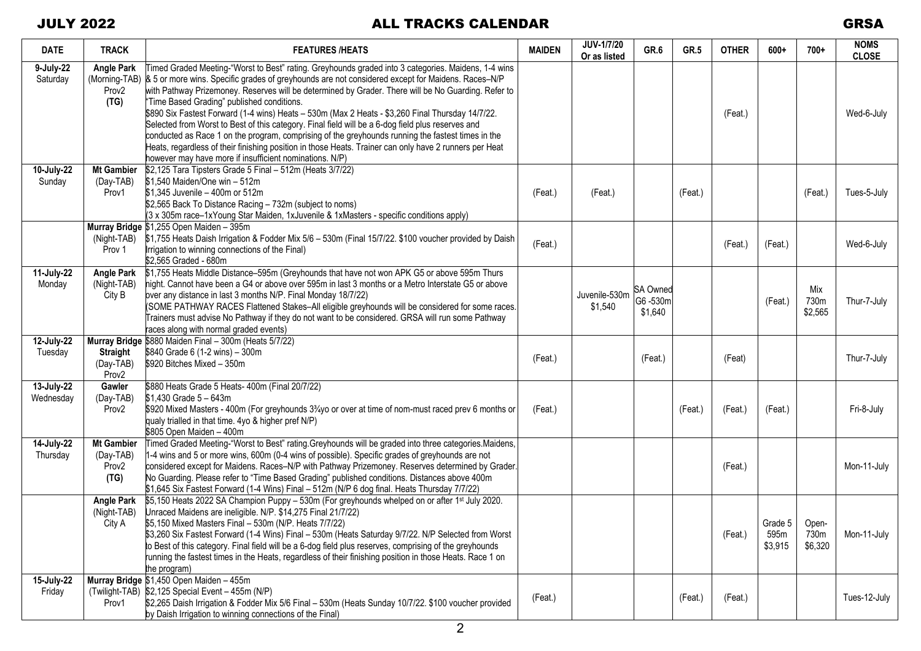| <b>DATE</b>             | <b>TRACK</b>                                                    | <b>FEATURES /HEATS</b>                                                                                                                                                                                                                                                                                                                                                                                                                                                                                                                                                                                                                                                                                                                                                                                                                          | <b>MAIDEN</b> | <b>JUV-1/7/20</b><br>Or as listed | GR.6                                  | GR.5    | <b>OTHER</b> | $600+$                     | $700+$                   | <b>NOMS</b><br><b>CLOSE</b> |
|-------------------------|-----------------------------------------------------------------|-------------------------------------------------------------------------------------------------------------------------------------------------------------------------------------------------------------------------------------------------------------------------------------------------------------------------------------------------------------------------------------------------------------------------------------------------------------------------------------------------------------------------------------------------------------------------------------------------------------------------------------------------------------------------------------------------------------------------------------------------------------------------------------------------------------------------------------------------|---------------|-----------------------------------|---------------------------------------|---------|--------------|----------------------------|--------------------------|-----------------------------|
| 9-July-22<br>Saturday   | <b>Angle Park</b><br>(Morning-TAB)<br>Prov <sub>2</sub><br>(TG) | Timed Graded Meeting-"Worst to Best" rating. Greyhounds graded into 3 categories. Maidens, 1-4 wins<br>& 5 or more wins. Specific grades of greyhounds are not considered except for Maidens. Races–N/P<br>with Pathway Prizemoney. Reserves will be determined by Grader. There will be No Guarding. Refer to<br>"Time Based Grading" published conditions.<br>\$890 Six Fastest Forward (1-4 wins) Heats - 530m (Max 2 Heats - \$3,260 Final Thursday 14/7/22.<br>Selected from Worst to Best of this category. Final field will be a 6-dog field plus reserves and<br>conducted as Race 1 on the program, comprising of the greyhounds running the fastest times in the<br>Heats, regardless of their finishing position in those Heats. Trainer can only have 2 runners per Heat<br>however may have more if insufficient nominations. N/P) |               |                                   |                                       |         | (Feat.)      |                            |                          | Wed-6-July                  |
| 10-July-22<br>Sunday    | <b>Mt Gambier</b><br>(Day-TAB)<br>Prov1                         | \$2,125 Tara Tipsters Grade 5 Final - 512m (Heats 3/7/22)<br>\$1,540 Maiden/One win - 512m<br>\$1,345 Juvenile - 400m or 512m<br>\$2,565 Back To Distance Racing - 732m (subject to noms)<br>(3 x 305m race-1xYoung Star Maiden, 1xJuvenile & 1xMasters - specific conditions apply)                                                                                                                                                                                                                                                                                                                                                                                                                                                                                                                                                            | (Feat.)       | (Feat.)                           |                                       | (Feat.) |              |                            | (Feat.)                  | Tues-5-July                 |
|                         | (Night-TAB)<br>Prov 1                                           | Murray Bridge \$1,255 Open Maiden - 395m<br>\$1,755 Heats Daish Irrigation & Fodder Mix 5/6 - 530m (Final 15/7/22. \$100 voucher provided by Daish<br>Irrigation to winning connections of the Final)<br>\$2,565 Graded - 680m                                                                                                                                                                                                                                                                                                                                                                                                                                                                                                                                                                                                                  | (Feat.)       |                                   |                                       |         | (Feat.)      | (Feat.)                    |                          | Wed-6-July                  |
| 11-July-22<br>Monday    | <b>Angle Park</b><br>(Night-TAB)<br>City B                      | \$1,755 Heats Middle Distance-595m (Greyhounds that have not won APK G5 or above 595m Thurs<br>hight. Cannot have been a G4 or above over 595m in last 3 months or a Metro Interstate G5 or above<br>over any distance in last 3 months N/P. Final Monday 18/7/22)<br>(SOME PATHWAY RACES Flattened Stakes-All eligible greyhounds will be considered for some races.<br>Trainers must advise No Pathway if they do not want to be considered. GRSA will run some Pathway<br>races along with normal graded events)                                                                                                                                                                                                                                                                                                                             |               | Juvenile-530m<br>\$1,540          | <b>SA Owned</b><br>G6-530m<br>\$1,640 |         |              | (Feat.)                    | Mix<br>730m<br>\$2,565   | Thur-7-July                 |
| 12-July-22<br>Tuesday   | <b>Straight</b><br>(Day-TAB)<br>Prov <sub>2</sub>               | Murray Bridge \$880 Maiden Final - 300m (Heats 5/7/22)<br>\$840 Grade 6 (1-2 wins) - 300m<br>\$920 Bitches Mixed - 350m                                                                                                                                                                                                                                                                                                                                                                                                                                                                                                                                                                                                                                                                                                                         | (Feat.)       |                                   | (Feat.)                               |         | (Feat)       |                            |                          | Thur-7-July                 |
| 13-July-22<br>Wednesday | Gawler<br>(Day-TAB)<br>Prov <sub>2</sub>                        | \$880 Heats Grade 5 Heats- 400m (Final 20/7/22)<br>\$1,430 Grade 5 - 643m<br>\$920 Mixed Masters - 400m (For greyhounds 3 <sup>3</sup> /yo or over at time of nom-must raced prev 6 months or<br>qualy trialled in that time. 4yo & higher pref N/P)<br>\$805 Open Maiden - 400m                                                                                                                                                                                                                                                                                                                                                                                                                                                                                                                                                                | (Feat.)       |                                   |                                       | (Feat.) | (Feat.)      | (Feat.)                    |                          | Fri-8-July                  |
| 14-July-22<br>Thursday  | <b>Mt Gambier</b><br>(Day-TAB)<br>Prov <sub>2</sub><br>(TG)     | Timed Graded Meeting-"Worst to Best" rating. Greyhounds will be graded into three categories. Maidens,<br>1-4 wins and 5 or more wins, 600m (0-4 wins of possible). Specific grades of greyhounds are not<br>considered except for Maidens. Races-N/P with Pathway Prizemoney. Reserves determined by Grader.<br>No Guarding. Please refer to "Time Based Grading" published conditions. Distances above 400m<br>\$1,645 Six Fastest Forward (1-4 Wins) Final - 512m (N/P 6 dog final. Heats Thursday 7/7/22)                                                                                                                                                                                                                                                                                                                                   |               |                                   |                                       |         | (Feat.)      |                            |                          | Mon-11-July                 |
|                         | <b>Angle Park</b><br>(Night-TAB)<br>City A                      | \$5,150 Heats 2022 SA Champion Puppy - 530m (For greyhounds whelped on or after 1st July 2020.<br>Unraced Maidens are ineligible. N/P. \$14,275 Final 21/7/22)<br>\$5,150 Mixed Masters Final - 530m (N/P. Heats 7/7/22)<br>\$3,260 Six Fastest Forward (1-4 Wins) Final - 530m (Heats Saturday 9/7/22. N/P Selected from Worst<br>to Best of this category. Final field will be a 6-dog field plus reserves, comprising of the greyhounds<br>running the fastest times in the Heats, regardless of their finishing position in those Heats. Race 1 on<br>the program)                                                                                                                                                                                                                                                                          |               |                                   |                                       |         | (Feat.)      | Grade 5<br>595m<br>\$3,915 | Open-<br>730m<br>\$6,320 | Mon-11-July                 |
| 15-July-22<br>Friday    | Prov1                                                           | Murray Bridge \$1,450 Open Maiden - 455m<br>(Twilight-TAB) \$2,125 Special Event - 455m (N/P)<br>\$2,265 Daish Irrigation & Fodder Mix 5/6 Final - 530m (Heats Sunday 10/7/22. \$100 voucher provided<br>by Daish Irrigation to winning connections of the Final)                                                                                                                                                                                                                                                                                                                                                                                                                                                                                                                                                                               | (Feat.)       |                                   |                                       | (Feat.) | (Feat.)      |                            |                          | Tues-12-July                |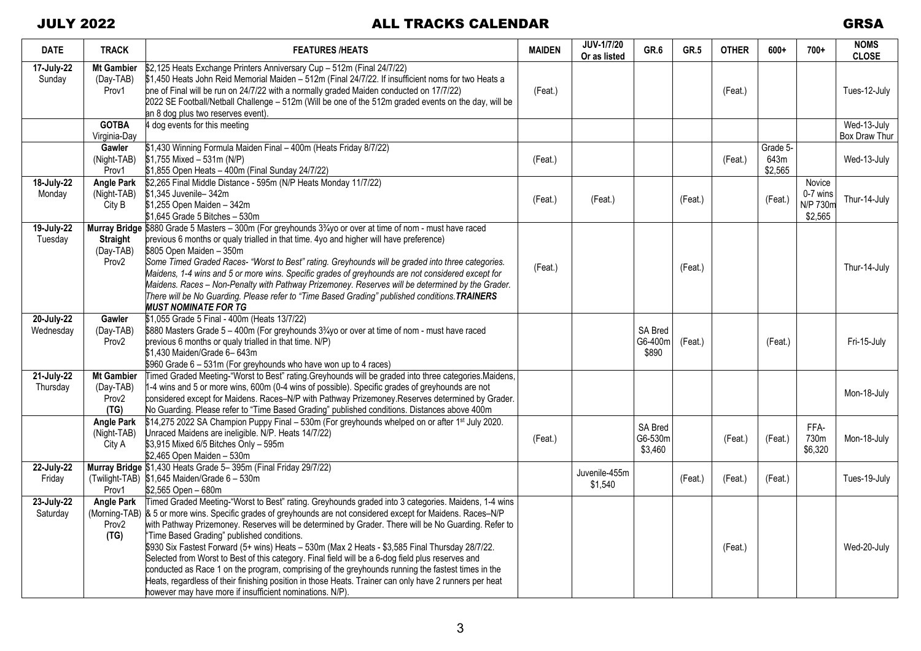| <b>DATE</b>             | <b>TRACK</b>                                                | <b>FEATURES /HEATS</b>                                                                                                                                                                                                                                                                                                                                                                                                                                                                                                                                                                                                                                                                                                                                                                                                                                        | <b>MAIDEN</b> | JUV-1/7/20<br>Or as listed | GR.6                               | GR.5    | <b>OTHER</b> | $600+$          | $700+$                                    | <b>NOMS</b><br><b>CLOSE</b> |
|-------------------------|-------------------------------------------------------------|---------------------------------------------------------------------------------------------------------------------------------------------------------------------------------------------------------------------------------------------------------------------------------------------------------------------------------------------------------------------------------------------------------------------------------------------------------------------------------------------------------------------------------------------------------------------------------------------------------------------------------------------------------------------------------------------------------------------------------------------------------------------------------------------------------------------------------------------------------------|---------------|----------------------------|------------------------------------|---------|--------------|-----------------|-------------------------------------------|-----------------------------|
| 17-July-22<br>Sunday    | <b>Mt Gambier</b><br>(Day-TAB)<br>Prov1                     | \$2,125 Heats Exchange Printers Anniversary Cup - 512m (Final 24/7/22)<br>\$1,450 Heats John Reid Memorial Maiden - 512m (Final 24/7/22. If insufficient noms for two Heats a<br>one of Final will be run on 24/7/22 with a normally graded Maiden conducted on 17/7/22)<br>2022 SE Football/Netball Challenge - 512m (Will be one of the 512m graded events on the day, will be<br>an 8 dog plus two reserves event).                                                                                                                                                                                                                                                                                                                                                                                                                                        | (Feat.)       |                            |                                    |         | (Feat.)      |                 |                                           | Tues-12-July                |
|                         | <b>GOTBA</b>                                                | 4 dog events for this meeting                                                                                                                                                                                                                                                                                                                                                                                                                                                                                                                                                                                                                                                                                                                                                                                                                                 |               |                            |                                    |         |              |                 |                                           | Wed-13-July                 |
|                         | Virginia-Day<br><b>Gawler</b>                               | \$1,430 Winning Formula Maiden Final - 400m (Heats Friday 8/7/22)                                                                                                                                                                                                                                                                                                                                                                                                                                                                                                                                                                                                                                                                                                                                                                                             |               |                            |                                    |         |              | Grade 5-        |                                           | Box Draw Thur               |
|                         | (Night-TAB)<br>Prov1                                        | $$1,755$ Mixed - 531m (N/P)<br>\$1,855 Open Heats - 400m (Final Sunday 24/7/22)                                                                                                                                                                                                                                                                                                                                                                                                                                                                                                                                                                                                                                                                                                                                                                               | (Feat.)       |                            |                                    |         | (Feat.)      | 643m<br>\$2,565 |                                           | Wed-13-July                 |
| 18-July-22<br>Monday    | <b>Angle Park</b><br>(Night-TAB)<br>City B                  | \$2,265 Final Middle Distance - 595m (N/P Heats Monday 11/7/22)<br>\$1,345 Juvenile-342m<br>\$1,255 Open Maiden - 342m<br>\$1,645 Grade 5 Bitches - 530m                                                                                                                                                                                                                                                                                                                                                                                                                                                                                                                                                                                                                                                                                                      | (Feat.)       | (Feat.)                    |                                    | (Feat.) |              | (Feat.)         | Novice<br>0-7 wins<br>N/P 730m<br>\$2,565 | Thur-14-July                |
| 19-July-22<br>Tuesday   | <b>Straight</b><br>(Day-TAB)<br>Prov <sub>2</sub>           | Murray Bridge \$880 Grade 5 Masters - 300m (For greyhounds 3 <sup>3</sup> /4yo or over at time of nom - must have raced<br>previous 6 months or qualy trialled in that time. 4yo and higher will have preference)<br>\$805 Open Maiden - 350m<br>Some Timed Graded Races- "Worst to Best" rating. Greyhounds will be graded into three categories.<br>Maidens, 1-4 wins and 5 or more wins. Specific grades of greyhounds are not considered except for<br>Maidens. Races - Non-Penalty with Pathway Prizemoney. Reserves will be determined by the Grader.<br>There will be No Guarding. Please refer to "Time Based Grading" published conditions. TRAINERS<br><b>MUST NOMINATE FOR TG</b>                                                                                                                                                                  | (Feat.)       |                            |                                    | (Feat.) |              |                 |                                           | Thur-14-July                |
| 20-July-22<br>Wednesday | Gawler<br>(Day-TAB)<br>Prov <sub>2</sub>                    | \$1,055 Grade 5 Final - 400m (Heats 13/7/22)<br>\$880 Masters Grade 5 - 400m (For greyhounds 33/4yo or over at time of nom - must have raced<br>previous 6 months or qualy trialled in that time. N/P)<br>\$1,430 Maiden/Grade 6-643m<br>\$960 Grade 6 - 531m (For greyhounds who have won up to 4 races)                                                                                                                                                                                                                                                                                                                                                                                                                                                                                                                                                     |               |                            | <b>SA Bred</b><br>G6-400m<br>\$890 | (Feat.) |              | (Feat.)         |                                           | Fri-15-July                 |
| 21-July-22<br>Thursday  | <b>Mt Gambier</b><br>(Day-TAB)<br>Prov <sub>2</sub><br>(TG) | Timed Graded Meeting-"Worst to Best" rating Greyhounds will be graded into three categories.Maidens,<br>1-4 wins and 5 or more wins, 600m (0-4 wins of possible). Specific grades of greyhounds are not<br>considered except for Maidens. Races-N/P with Pathway Prizemoney Reserves determined by Grader.<br>No Guarding. Please refer to "Time Based Grading" published conditions. Distances above 400m                                                                                                                                                                                                                                                                                                                                                                                                                                                    |               |                            |                                    |         |              |                 |                                           | Mon-18-July                 |
|                         | <b>Angle Park</b><br>(Night-TAB)<br>City A                  | \$14,275 2022 SA Champion Puppy Final - 530m (For greyhounds whelped on or after 1 <sup>st</sup> July 2020.<br>Unraced Maidens are ineligible. N/P. Heats 14/7/22)<br>\$3,915 Mixed 6/5 Bitches Only - 595m<br>\$2,465 Open Maiden - 530m                                                                                                                                                                                                                                                                                                                                                                                                                                                                                                                                                                                                                     | (Feat.)       |                            | SA Bred<br>G6-530m<br>\$3,460      |         | (Feat.)      | (Feat.)         | FFA-<br>730m<br>\$6,320                   | Mon-18-July                 |
| 22-July-22<br>Friday    | Prov1                                                       | Murray Bridge \$1,430 Heats Grade 5-395m (Final Friday 29/7/22)<br>(Twilight-TAB) \$1,645 Maiden/Grade 6 - 530m<br>\$2,565 Open - 680m                                                                                                                                                                                                                                                                                                                                                                                                                                                                                                                                                                                                                                                                                                                        |               | Juvenile-455m<br>\$1,540   |                                    | (Feat.) | (Feat.)      | (Feat.)         |                                           | Tues-19-July                |
| 23-July-22<br>Saturday  | <b>Angle Park</b><br>Prov <sub>2</sub><br>(TG)              | Timed Graded Meeting-"Worst to Best" rating. Greyhounds graded into 3 categories. Maidens, 1-4 wins<br>(Morning-TAB) & 5 or more wins. Specific grades of greyhounds are not considered except for Maidens. Races–N/P<br>with Pathway Prizemoney. Reserves will be determined by Grader. There will be No Guarding. Refer to<br>"Time Based Grading" published conditions.<br>\$930 Six Fastest Forward (5+ wins) Heats - 530m (Max 2 Heats - \$3,585 Final Thursday 28/7/22.<br>Selected from Worst to Best of this category. Final field will be a 6-dog field plus reserves and<br>conducted as Race 1 on the program, comprising of the greyhounds running the fastest times in the<br>Heats, regardless of their finishing position in those Heats. Trainer can only have 2 runners per heat<br>however may have more if insufficient nominations. N/P). |               |                            |                                    |         | (Feat.)      |                 |                                           | Wed-20-July                 |